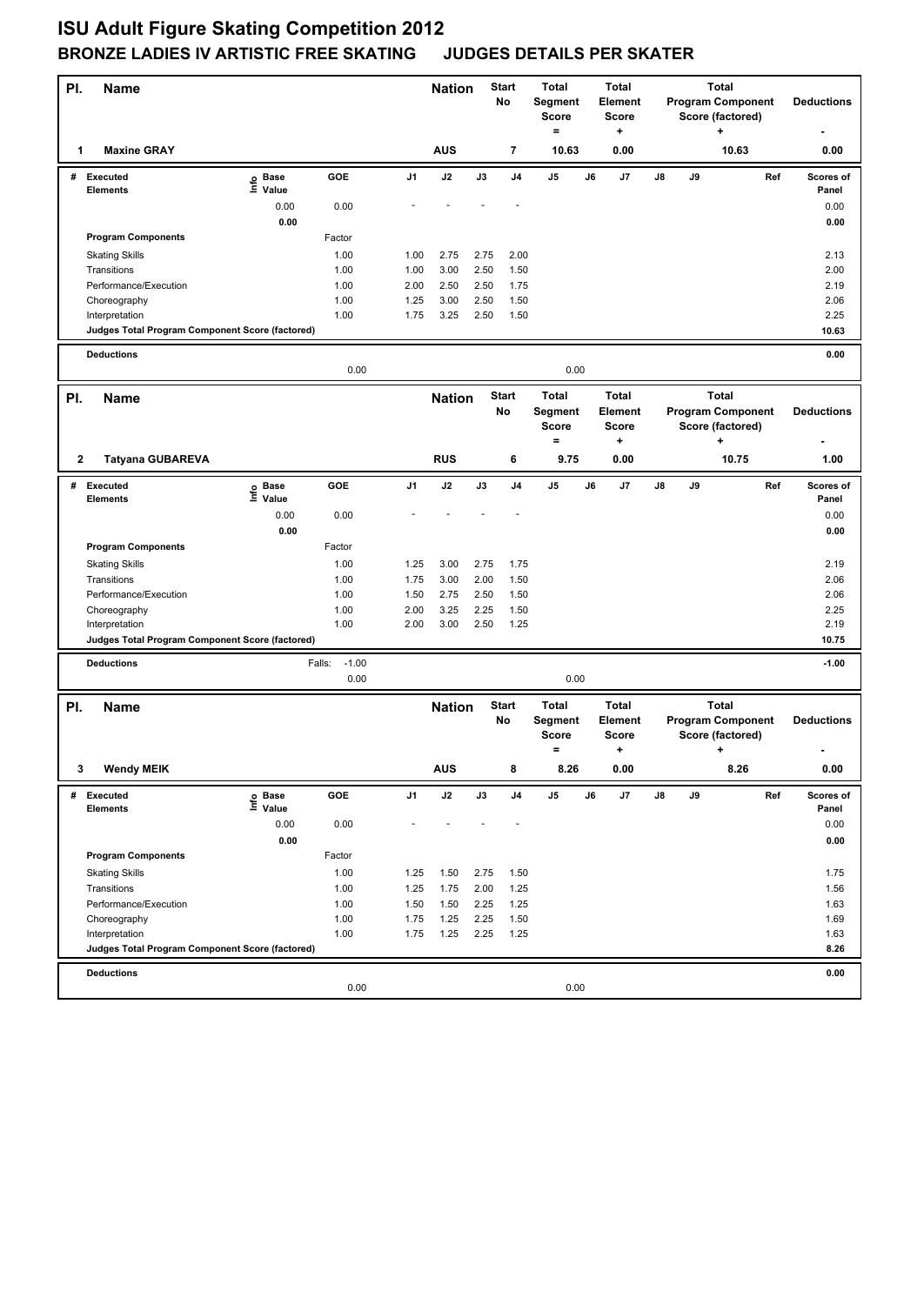| PI.         | <b>Name</b>                                                       |                           |                   |      | <b>Nation</b> |      | <b>Start</b><br>No | <b>Total</b><br>Segment<br><b>Score</b><br>$=$ |    | <b>Total</b><br>Element<br>Score<br>+        |    |    | <b>Total</b><br><b>Program Component</b><br>Score (factored)<br>÷ |     | <b>Deductions</b>  |
|-------------|-------------------------------------------------------------------|---------------------------|-------------------|------|---------------|------|--------------------|------------------------------------------------|----|----------------------------------------------|----|----|-------------------------------------------------------------------|-----|--------------------|
| 1           | <b>Maxine GRAY</b>                                                |                           |                   |      | <b>AUS</b>    |      | 7                  | 10.63                                          |    | 0.00                                         |    |    | 10.63                                                             |     | 0.00               |
|             | # Executed<br><b>Elements</b>                                     | e Base<br>⊆ Value         | GOE               | J1   | J2            | J3   | J4                 | J5                                             | J6 | J7                                           | J8 | J9 |                                                                   | Ref | Scores of<br>Panel |
|             |                                                                   | 0.00                      | 0.00              |      |               |      |                    |                                                |    |                                              |    |    |                                                                   |     | 0.00               |
|             |                                                                   | 0.00                      |                   |      |               |      |                    |                                                |    |                                              |    |    |                                                                   |     | 0.00               |
|             | <b>Program Components</b>                                         |                           | Factor            |      |               |      |                    |                                                |    |                                              |    |    |                                                                   |     |                    |
|             | <b>Skating Skills</b>                                             |                           | 1.00              | 1.00 | 2.75          | 2.75 | 2.00               |                                                |    |                                              |    |    |                                                                   |     | 2.13               |
|             | Transitions                                                       |                           | 1.00              | 1.00 | 3.00          | 2.50 | 1.50               |                                                |    |                                              |    |    |                                                                   |     | 2.00               |
|             | Performance/Execution                                             |                           | 1.00              | 2.00 | 2.50          | 2.50 | 1.75               |                                                |    |                                              |    |    |                                                                   |     | 2.19               |
|             | Choreography                                                      |                           | 1.00              | 1.25 | 3.00          | 2.50 | 1.50               |                                                |    |                                              |    |    |                                                                   |     | 2.06               |
|             | Interpretation<br>Judges Total Program Component Score (factored) |                           | 1.00              | 1.75 | 3.25          | 2.50 | 1.50               |                                                |    |                                              |    |    |                                                                   |     | 2.25<br>10.63      |
|             |                                                                   |                           |                   |      |               |      |                    |                                                |    |                                              |    |    |                                                                   |     |                    |
|             | <b>Deductions</b>                                                 |                           | 0.00              |      |               |      |                    | 0.00                                           |    |                                              |    |    |                                                                   |     | 0.00               |
| PI.         | <b>Name</b>                                                       |                           |                   |      | <b>Nation</b> |      | <b>Start</b><br>No | <b>Total</b><br>Segment<br><b>Score</b>        |    | <b>Total</b><br>Element<br><b>Score</b>      |    |    | <b>Total</b><br><b>Program Component</b><br>Score (factored)      |     | <b>Deductions</b>  |
|             |                                                                   |                           |                   |      |               |      |                    | $=$                                            |    | +                                            |    |    | +                                                                 |     |                    |
| 2           | <b>Tatyana GUBAREVA</b>                                           |                           |                   |      | <b>RUS</b>    |      | 6                  | 9.75                                           |    | 0.00                                         |    |    | 10.75                                                             |     | 1.00               |
| #           | <b>Executed</b>                                                   | Base ۾                    | GOE               | J1   | J2            | J3   | J <sub>4</sub>     | J5                                             | J6 | J7                                           | J8 | J9 |                                                                   | Ref | Scores of          |
|             | <b>Elements</b>                                                   | $\bar{\Xi}$ Value<br>0.00 | 0.00              |      |               |      |                    |                                                |    |                                              |    |    |                                                                   |     | Panel<br>0.00      |
|             |                                                                   | 0.00                      |                   |      |               |      |                    |                                                |    |                                              |    |    |                                                                   |     | 0.00               |
|             | <b>Program Components</b>                                         |                           | Factor            |      |               |      |                    |                                                |    |                                              |    |    |                                                                   |     |                    |
|             | <b>Skating Skills</b>                                             |                           | 1.00              | 1.25 | 3.00          | 2.75 | 1.75               |                                                |    |                                              |    |    |                                                                   |     | 2.19               |
|             | Transitions                                                       |                           | 1.00              | 1.75 | 3.00          | 2.00 | 1.50               |                                                |    |                                              |    |    |                                                                   |     | 2.06               |
|             | Performance/Execution                                             |                           | 1.00              | 1.50 | 2.75          | 2.50 | 1.50               |                                                |    |                                              |    |    |                                                                   |     | 2.06               |
|             | Choreography                                                      |                           | 1.00              | 2.00 | 3.25          | 2.25 | 1.50               |                                                |    |                                              |    |    |                                                                   |     | 2.25               |
|             | Interpretation                                                    |                           | 1.00              | 2.00 | 3.00          | 2.50 | 1.25               |                                                |    |                                              |    |    |                                                                   |     | 2.19               |
|             | Judges Total Program Component Score (factored)                   |                           |                   |      |               |      |                    |                                                |    |                                              |    |    |                                                                   |     | 10.75              |
|             | <b>Deductions</b>                                                 |                           | $-1.00$<br>Falls: |      |               |      |                    |                                                |    |                                              |    |    |                                                                   |     | $-1.00$            |
|             |                                                                   |                           | 0.00              |      |               |      |                    | 0.00                                           |    |                                              |    |    |                                                                   |     |                    |
| PI.         | <b>Name</b>                                                       |                           |                   |      | <b>Nation</b> |      | <b>Start</b><br>No | <b>Total</b><br>Segment<br><b>Score</b><br>$=$ |    | <b>Total</b><br>Element<br><b>Score</b><br>٠ |    |    | <b>Total</b><br><b>Program Component</b><br>Score (factored)<br>+ |     | <b>Deductions</b>  |
| $3^{\circ}$ | <b>Wendy MEIK</b>                                                 |                           |                   |      | <b>AUS</b>    |      |                    | 8.26                                           |    | 0.00                                         |    |    | 8.26                                                              |     | $0.00\,$           |
| #           | Executed                                                          | e Base<br>⊑ Value         | GOE               | J1   | J2            | J3   | J4                 | J5                                             | J6 | J7                                           | J8 | J9 |                                                                   | Ref | Scores of          |
|             | <b>Elements</b>                                                   |                           |                   |      |               |      |                    |                                                |    |                                              |    |    |                                                                   |     | Panel              |
|             |                                                                   | 0.00                      | 0.00              |      |               |      |                    |                                                |    |                                              |    |    |                                                                   |     | 0.00               |
|             | <b>Program Components</b>                                         | 0.00                      | Factor            |      |               |      |                    |                                                |    |                                              |    |    |                                                                   |     | 0.00               |
|             | <b>Skating Skills</b>                                             |                           | 1.00              | 1.25 | 1.50          | 2.75 | 1.50               |                                                |    |                                              |    |    |                                                                   |     | 1.75               |
|             | Transitions                                                       |                           | 1.00              | 1.25 | 1.75          | 2.00 | 1.25               |                                                |    |                                              |    |    |                                                                   |     | 1.56               |
|             | Performance/Execution                                             |                           | 1.00              | 1.50 | 1.50          | 2.25 | 1.25               |                                                |    |                                              |    |    |                                                                   |     | 1.63               |
|             | Choreography                                                      |                           | 1.00              | 1.75 | 1.25          | 2.25 | 1.50               |                                                |    |                                              |    |    |                                                                   |     | 1.69               |
|             | Interpretation                                                    |                           | 1.00              | 1.75 | 1.25          | 2.25 | 1.25               |                                                |    |                                              |    |    |                                                                   |     | 1.63               |
|             | Judges Total Program Component Score (factored)                   |                           |                   |      |               |      |                    |                                                |    |                                              |    |    |                                                                   |     | 8.26               |
|             | <b>Deductions</b>                                                 |                           |                   |      |               |      |                    |                                                |    |                                              |    |    |                                                                   |     | 0.00               |
|             |                                                                   |                           | 0.00              |      |               |      |                    | 0.00                                           |    |                                              |    |    |                                                                   |     |                    |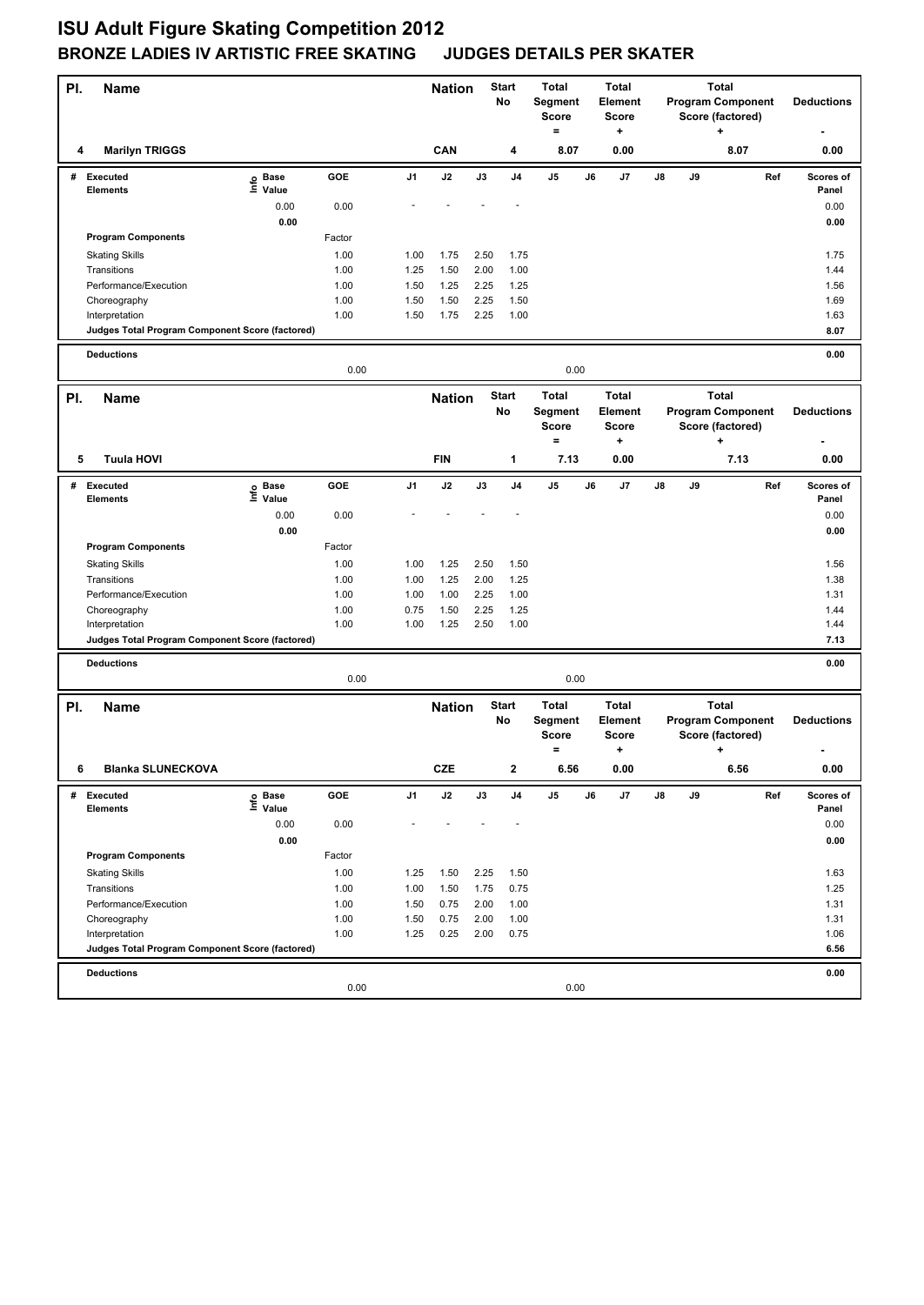| PI. | Name                                                              |                              |        |      | <b>Nation</b> |      | <b>Start</b><br>No | <b>Total</b><br>Segment<br>Score<br>$=$             |    | <b>Total</b><br>Element<br><b>Score</b><br>+ |    |    | <b>Total</b><br><b>Program Component</b><br>Score (factored)<br>÷ |     | <b>Deductions</b>  |
|-----|-------------------------------------------------------------------|------------------------------|--------|------|---------------|------|--------------------|-----------------------------------------------------|----|----------------------------------------------|----|----|-------------------------------------------------------------------|-----|--------------------|
| 4   | <b>Marilyn TRIGGS</b>                                             |                              |        |      | CAN           |      | 4                  | 8.07                                                |    | 0.00                                         |    |    | 8.07                                                              |     | 0.00               |
| #   | <b>Executed</b><br><b>Elements</b>                                | <b>Base</b><br>lnfo<br>Value | GOE    | J1   | J2            | J3   | J4                 | J5                                                  | J6 | J7                                           | J8 | J9 |                                                                   | Ref | Scores of<br>Panel |
|     |                                                                   | 0.00                         | 0.00   |      |               |      |                    |                                                     |    |                                              |    |    |                                                                   |     | 0.00               |
|     |                                                                   | 0.00                         |        |      |               |      |                    |                                                     |    |                                              |    |    |                                                                   |     | 0.00               |
|     | <b>Program Components</b>                                         |                              | Factor |      |               |      |                    |                                                     |    |                                              |    |    |                                                                   |     |                    |
|     | <b>Skating Skills</b>                                             |                              | 1.00   | 1.00 | 1.75          | 2.50 | 1.75               |                                                     |    |                                              |    |    |                                                                   |     | 1.75               |
|     | Transitions                                                       |                              | 1.00   | 1.25 | 1.50          | 2.00 | 1.00               |                                                     |    |                                              |    |    |                                                                   |     | 1.44               |
|     | Performance/Execution                                             |                              | 1.00   | 1.50 | 1.25          | 2.25 | 1.25               |                                                     |    |                                              |    |    |                                                                   |     | 1.56               |
|     | Choreography                                                      |                              | 1.00   | 1.50 | 1.50          | 2.25 | 1.50               |                                                     |    |                                              |    |    |                                                                   |     | 1.69               |
|     | Interpretation<br>Judges Total Program Component Score (factored) |                              | 1.00   | 1.50 | 1.75          | 2.25 | 1.00               |                                                     |    |                                              |    |    |                                                                   |     | 1.63<br>8.07       |
|     |                                                                   |                              |        |      |               |      |                    |                                                     |    |                                              |    |    |                                                                   |     |                    |
|     | <b>Deductions</b>                                                 |                              | 0.00   |      |               |      |                    | 0.00                                                |    |                                              |    |    |                                                                   |     | 0.00               |
|     |                                                                   |                              |        |      |               |      | <b>Start</b>       | <b>Total</b>                                        |    | <b>Total</b>                                 |    |    | <b>Total</b>                                                      |     |                    |
| PI. | Name                                                              |                              |        |      | <b>Nation</b> |      | No                 | Segment<br><b>Score</b>                             |    | Element<br><b>Score</b>                      |    |    | <b>Program Component</b><br>Score (factored)                      |     | <b>Deductions</b>  |
|     |                                                                   |                              |        |      |               |      |                    | $\qquad \qquad =$                                   |    | ٠                                            |    |    | +                                                                 |     |                    |
| 5   | <b>Tuula HOVI</b>                                                 |                              |        |      | <b>FIN</b>    |      | 1                  | 7.13                                                |    | 0.00                                         |    |    | 7.13                                                              |     | 0.00               |
| #   | Executed<br><b>Elements</b>                                       | e Base<br>E Value            | GOE    | J1   | J2            | J3   | J <sub>4</sub>     | J5                                                  | J6 | J7                                           | J8 | J9 |                                                                   | Ref | Scores of<br>Panel |
|     |                                                                   | 0.00                         | 0.00   |      |               |      |                    |                                                     |    |                                              |    |    |                                                                   |     | 0.00               |
|     |                                                                   | 0.00                         |        |      |               |      |                    |                                                     |    |                                              |    |    |                                                                   |     | 0.00               |
|     | <b>Program Components</b>                                         |                              | Factor |      |               |      |                    |                                                     |    |                                              |    |    |                                                                   |     |                    |
|     | <b>Skating Skills</b>                                             |                              | 1.00   | 1.00 | 1.25          | 2.50 | 1.50               |                                                     |    |                                              |    |    |                                                                   |     | 1.56               |
|     | Transitions                                                       |                              | 1.00   | 1.00 | 1.25          | 2.00 | 1.25               |                                                     |    |                                              |    |    |                                                                   |     | 1.38               |
|     | Performance/Execution                                             |                              | 1.00   | 1.00 | 1.00          | 2.25 | 1.00               |                                                     |    |                                              |    |    |                                                                   |     | 1.31               |
|     | Choreography                                                      |                              | 1.00   | 0.75 | 1.50          | 2.25 | 1.25               |                                                     |    |                                              |    |    |                                                                   |     | 1.44               |
|     | Interpretation<br>Judges Total Program Component Score (factored) |                              | 1.00   | 1.00 | 1.25          | 2.50 | 1.00               |                                                     |    |                                              |    |    |                                                                   |     | 1.44<br>7.13       |
|     |                                                                   |                              |        |      |               |      |                    |                                                     |    |                                              |    |    |                                                                   |     |                    |
|     | <b>Deductions</b>                                                 |                              | 0.00   |      |               |      |                    | 0.00                                                |    |                                              |    |    |                                                                   |     | 0.00               |
|     |                                                                   |                              |        |      |               |      |                    |                                                     |    |                                              |    |    |                                                                   |     |                    |
| PI. | <b>Name</b>                                                       |                              |        |      | <b>Nation</b> |      | <b>Start</b><br>No | <b>Total</b><br>Segment<br><b>Score</b><br>$\equiv$ |    | <b>Total</b><br>Element<br>Score<br>+        |    |    | <b>Total</b><br><b>Program Component</b><br>Score (factored)<br>٠ |     | <b>Deductions</b>  |
| 6   | <b>Blanka SLUNECKOVA</b>                                          |                              |        |      | <b>CZE</b>    |      | 2                  | 6.56                                                |    | 0.00                                         |    |    | 6.56                                                              |     | $0.00\,$           |
| #   | Executed                                                          | e Base<br>⊑ Value            | GOE    | J1   | J2            | J3   | J4                 | J5                                                  | J6 | J7                                           | J8 | J9 |                                                                   | Ref | Scores of          |
|     | <b>Elements</b>                                                   | 0.00                         | 0.00   |      |               |      |                    |                                                     |    |                                              |    |    |                                                                   |     | Panel<br>0.00      |
|     |                                                                   | 0.00                         |        |      |               |      |                    |                                                     |    |                                              |    |    |                                                                   |     | 0.00               |
|     | <b>Program Components</b>                                         |                              | Factor |      |               |      |                    |                                                     |    |                                              |    |    |                                                                   |     |                    |
|     | <b>Skating Skills</b>                                             |                              | 1.00   | 1.25 | 1.50          | 2.25 | 1.50               |                                                     |    |                                              |    |    |                                                                   |     | 1.63               |
|     | Transitions                                                       |                              | 1.00   | 1.00 | 1.50          | 1.75 | 0.75               |                                                     |    |                                              |    |    |                                                                   |     | 1.25               |
|     | Performance/Execution                                             |                              | 1.00   | 1.50 | 0.75          | 2.00 | 1.00               |                                                     |    |                                              |    |    |                                                                   |     | 1.31               |
|     | Choreography                                                      |                              | 1.00   | 1.50 | 0.75          | 2.00 | 1.00               |                                                     |    |                                              |    |    |                                                                   |     | 1.31               |
|     | Interpretation                                                    |                              | 1.00   | 1.25 | 0.25          | 2.00 | 0.75               |                                                     |    |                                              |    |    |                                                                   |     | 1.06               |
|     | Judges Total Program Component Score (factored)                   |                              |        |      |               |      |                    |                                                     |    |                                              |    |    |                                                                   |     | 6.56               |
|     | <b>Deductions</b>                                                 |                              |        |      |               |      |                    |                                                     |    |                                              |    |    |                                                                   |     | 0.00               |
|     |                                                                   |                              | 0.00   |      |               |      |                    | 0.00                                                |    |                                              |    |    |                                                                   |     |                    |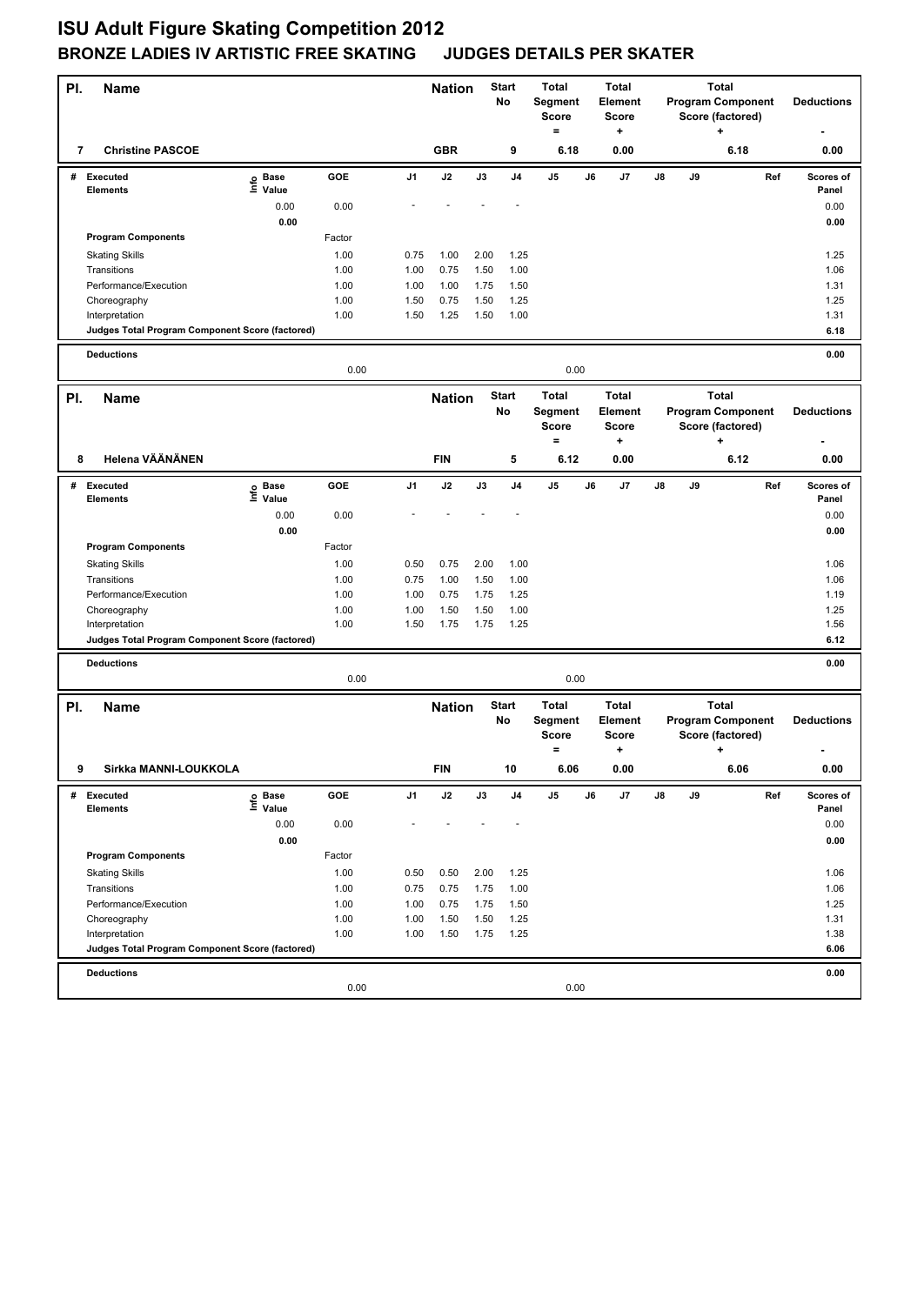| PI. | Name                                                              |                              |        |      | <b>Nation</b> |      | <b>Start</b><br>No | <b>Total</b><br>Segment<br>Score<br>$=$             |    | <b>Total</b><br>Element<br><b>Score</b><br>+ |    |    | <b>Total</b><br><b>Program Component</b><br>Score (factored)<br>÷ |     | <b>Deductions</b>  |
|-----|-------------------------------------------------------------------|------------------------------|--------|------|---------------|------|--------------------|-----------------------------------------------------|----|----------------------------------------------|----|----|-------------------------------------------------------------------|-----|--------------------|
| 7   | <b>Christine PASCOE</b>                                           |                              |        |      | <b>GBR</b>    |      | 9                  | 6.18                                                |    | 0.00                                         |    |    | 6.18                                                              |     | 0.00               |
| #   | Executed<br><b>Elements</b>                                       | <b>Base</b><br>lnfo<br>Value | GOE    | J1   | J2            | J3   | J4                 | J5                                                  | J6 | J7                                           | J8 | J9 |                                                                   | Ref | Scores of<br>Panel |
|     |                                                                   | 0.00                         | 0.00   |      |               |      |                    |                                                     |    |                                              |    |    |                                                                   |     | 0.00               |
|     |                                                                   | 0.00                         |        |      |               |      |                    |                                                     |    |                                              |    |    |                                                                   |     | 0.00               |
|     | <b>Program Components</b>                                         |                              | Factor |      |               |      |                    |                                                     |    |                                              |    |    |                                                                   |     |                    |
|     | <b>Skating Skills</b>                                             |                              | 1.00   | 0.75 | 1.00          | 2.00 | 1.25               |                                                     |    |                                              |    |    |                                                                   |     | 1.25               |
|     | Transitions                                                       |                              | 1.00   | 1.00 | 0.75          | 1.50 | 1.00               |                                                     |    |                                              |    |    |                                                                   |     | 1.06               |
|     | Performance/Execution                                             |                              | 1.00   | 1.00 | 1.00          | 1.75 | 1.50               |                                                     |    |                                              |    |    |                                                                   |     | 1.31               |
|     | Choreography                                                      |                              | 1.00   | 1.50 | 0.75          | 1.50 | 1.25               |                                                     |    |                                              |    |    |                                                                   |     | 1.25               |
|     | Interpretation<br>Judges Total Program Component Score (factored) |                              | 1.00   | 1.50 | 1.25          | 1.50 | 1.00               |                                                     |    |                                              |    |    |                                                                   |     | 1.31<br>6.18       |
|     |                                                                   |                              |        |      |               |      |                    |                                                     |    |                                              |    |    |                                                                   |     |                    |
|     | <b>Deductions</b>                                                 |                              | 0.00   |      |               |      |                    | 0.00                                                |    |                                              |    |    |                                                                   |     | 0.00               |
|     |                                                                   |                              |        |      |               |      | <b>Start</b>       | <b>Total</b>                                        |    | <b>Total</b>                                 |    |    | <b>Total</b>                                                      |     |                    |
| PI. | Name                                                              |                              |        |      | <b>Nation</b> |      | No                 | Segment<br><b>Score</b>                             |    | Element<br><b>Score</b>                      |    |    | <b>Program Component</b><br>Score (factored)                      |     | <b>Deductions</b>  |
|     |                                                                   |                              |        |      |               |      |                    | $\qquad \qquad =$                                   |    | ٠                                            |    |    | +                                                                 |     |                    |
| 8   | Helena VÄÄNÄNEN                                                   |                              |        |      | <b>FIN</b>    |      | 5                  | 6.12                                                |    | 0.00                                         |    |    | 6.12                                                              |     | 0.00               |
| #   | Executed<br><b>Elements</b>                                       | e Base<br>E Value            | GOE    | J1   | J2            | J3   | J <sub>4</sub>     | J5                                                  | J6 | J7                                           | J8 | J9 |                                                                   | Ref | Scores of<br>Panel |
|     |                                                                   | 0.00                         | 0.00   |      |               |      |                    |                                                     |    |                                              |    |    |                                                                   |     | 0.00               |
|     |                                                                   | 0.00                         |        |      |               |      |                    |                                                     |    |                                              |    |    |                                                                   |     | 0.00               |
|     | <b>Program Components</b>                                         |                              | Factor |      |               |      |                    |                                                     |    |                                              |    |    |                                                                   |     |                    |
|     | <b>Skating Skills</b>                                             |                              | 1.00   | 0.50 | 0.75          | 2.00 | 1.00               |                                                     |    |                                              |    |    |                                                                   |     | 1.06               |
|     | Transitions                                                       |                              | 1.00   | 0.75 | 1.00          | 1.50 | 1.00               |                                                     |    |                                              |    |    |                                                                   |     | 1.06               |
|     | Performance/Execution                                             |                              | 1.00   | 1.00 | 0.75          | 1.75 | 1.25               |                                                     |    |                                              |    |    |                                                                   |     | 1.19               |
|     | Choreography                                                      |                              | 1.00   | 1.00 | 1.50          | 1.50 | 1.00               |                                                     |    |                                              |    |    |                                                                   |     | 1.25               |
|     | Interpretation                                                    |                              | 1.00   | 1.50 | 1.75          | 1.75 | 1.25               |                                                     |    |                                              |    |    |                                                                   |     | 1.56               |
|     | Judges Total Program Component Score (factored)                   |                              |        |      |               |      |                    |                                                     |    |                                              |    |    |                                                                   |     | 6.12               |
|     | <b>Deductions</b>                                                 |                              | 0.00   |      |               |      |                    | 0.00                                                |    |                                              |    |    |                                                                   |     | 0.00               |
|     |                                                                   |                              |        |      |               |      |                    |                                                     |    |                                              |    |    |                                                                   |     |                    |
| PI. | <b>Name</b>                                                       |                              |        |      | <b>Nation</b> |      | <b>Start</b><br>No | <b>Total</b><br>Segment<br><b>Score</b><br>$\equiv$ |    | <b>Total</b><br>Element<br>Score<br>+        |    |    | <b>Total</b><br><b>Program Component</b><br>Score (factored)<br>٠ |     | <b>Deductions</b>  |
| 9   | Sirkka MANNI-LOUKKOLA                                             |                              |        |      | <b>FIN</b>    |      | 10                 | 6.06                                                |    | 0.00                                         |    |    | 6.06                                                              |     | $0.00\,$           |
| #   | Executed                                                          | e Base<br>⊑ Value            | GOE    | J1   | J2            | J3   | J4                 | J5                                                  | J6 | J7                                           | J8 | J9 |                                                                   | Ref | Scores of          |
|     | Elements                                                          | 0.00                         | 0.00   |      |               |      |                    |                                                     |    |                                              |    |    |                                                                   |     | Panel<br>0.00      |
|     |                                                                   | 0.00                         |        |      |               |      |                    |                                                     |    |                                              |    |    |                                                                   |     | 0.00               |
|     | <b>Program Components</b>                                         |                              | Factor |      |               |      |                    |                                                     |    |                                              |    |    |                                                                   |     |                    |
|     | <b>Skating Skills</b>                                             |                              | 1.00   | 0.50 | 0.50          | 2.00 | 1.25               |                                                     |    |                                              |    |    |                                                                   |     | 1.06               |
|     | Transitions                                                       |                              | 1.00   | 0.75 | 0.75          | 1.75 | 1.00               |                                                     |    |                                              |    |    |                                                                   |     | 1.06               |
|     | Performance/Execution                                             |                              | 1.00   | 1.00 | 0.75          | 1.75 | 1.50               |                                                     |    |                                              |    |    |                                                                   |     | 1.25               |
|     | Choreography                                                      |                              | 1.00   | 1.00 | 1.50          | 1.50 | 1.25               |                                                     |    |                                              |    |    |                                                                   |     | 1.31               |
|     | Interpretation                                                    |                              | 1.00   | 1.00 | 1.50          | 1.75 | 1.25               |                                                     |    |                                              |    |    |                                                                   |     | 1.38               |
|     | Judges Total Program Component Score (factored)                   |                              |        |      |               |      |                    |                                                     |    |                                              |    |    |                                                                   |     | 6.06               |
|     | <b>Deductions</b>                                                 |                              |        |      |               |      |                    |                                                     |    |                                              |    |    |                                                                   |     | 0.00               |
|     |                                                                   |                              | 0.00   |      |               |      |                    | 0.00                                                |    |                                              |    |    |                                                                   |     |                    |